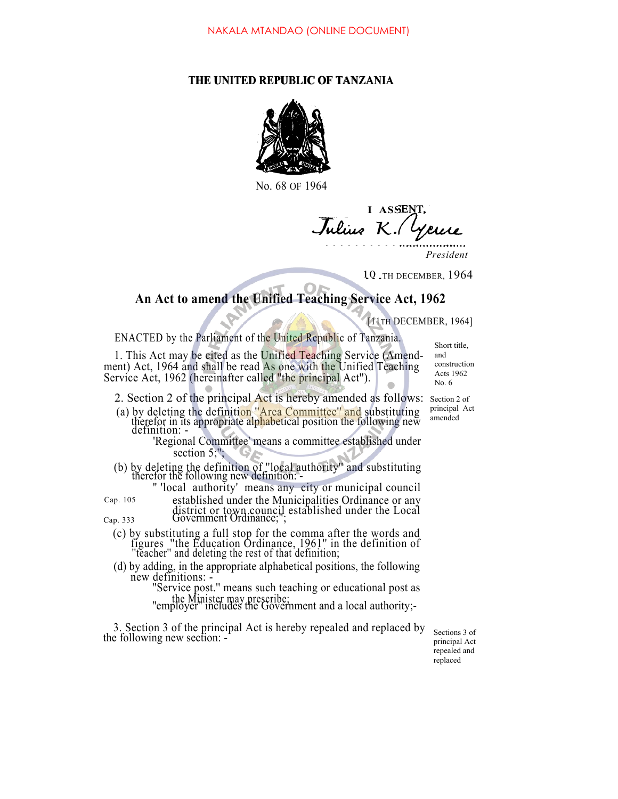## **THE UNITED REPUBLIC OF TANZANIA**



No. 68 OF 1964

**I ASSE** *J K.*

*President*

10 TH DECEMBER, 1964

## **An Act to amend the Unified Teaching Service Act, 1962**

[11TH DECEMBER, 1964]

ENACTED by the Parliament of the United Republic of Tanzania.

1. This Act may be cited as the Unified Teaching Service (Amendment) Act, 1964 and shall be read As one with the Unified Teaching Service Act, 1962 (hereinafter called ''the principal Act''). THE UNITED REPUBLIC OF TANZANIA<br>
No. 68 OF 1964<br>
No. 68 OF 1964<br>
14 SSENT.<br>
Tuliuse K. (Velicle President<br>
President<br>
President<br>
20 .THE DECEMBER, 1964<br>
20 .THE DECEMBER, 1964<br>
20 .THE DECEMBER, 1964<br>
20 .THE DECEMBER, 196

- 2. Section 2 of the principal Act is hereby amended as follows: Section 2 of
- (a) by deleting the definition "Area Committee" and substituting therefor in its appropriate alphabetical position the following new definition: -
	- 'Regional Committee' means a committee established under section  $5$ ;";
- (b) by deleting the definition of ''local authority'' and substituting therefor the following new definition: " 'local authority' means any city or municipal council

Cap. 105 established under the Municipalities Ordinance or any

district or town council established under the Local Cap. 333 Government Ordinance;";

- (c) by substituting a full stop for the comma after the words and figures ''the Education Ordinance, 1961'' in the definition of ''teacher'' and deleting the rest of that definition;
- (d) by adding, in the appropriate alphabetical positions, the following new definitions: -

"Service post." means such teaching or educational post as the Minister may prescribe; ''employer'' includes the Government and a local authority;-

3. Section 3 of the principal Act is hereby repealed and replaced by the following new section: -

principal Act repealed and replaced

principal Act amended

Short title, and construction Acts 1962 No. 6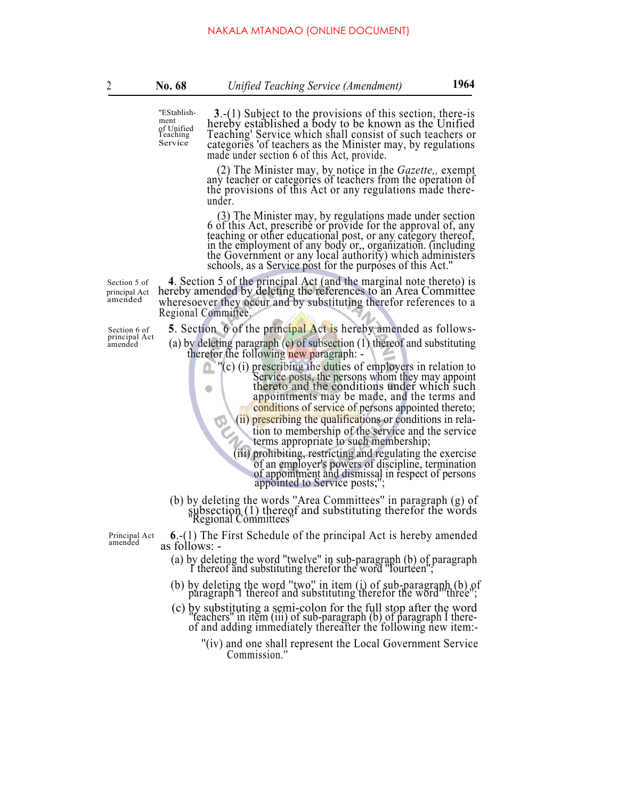''EStablishment of Unified Teaching Service

**<sup>3</sup>**.-(1) Subject to the provisions of this section, there-is hereby established a body to be known as the Unified Teaching' Service which shall consist of such teachers or categories 'of teachers as the Minister may, by regulations made under section 6 of this Act, provide.

(2) The Minister may, by notice in the *Gazette,,* exempt any teacher or categories of teachers from the operation of the provisions of this Act or any regulations made thereunder.

(3) The Minister may, by regulations made under section 6 of this Act, prescribe or provide for the approval of, any teaching or other educational post, or any category thereof, in the employment of any body or,, organization. (including the Government or any local authority) which administers schools, as a Service post for the purposes of this Act.''

principal Act

principal Act<br>amended

Section 5 of **4**. Section 5 of the principal Act (and the marginal note thereto) is principal Act hereby amended by deleting the references to an Area Committee amended where so we refer they occur and by substituting the wheresoever they occur and by substituting therefor references to a Regional Committee.

Section 6 of **5**. Section 6 of the principal Act is hereby amended as follows-<br>principal Act (a) by deleting paragraph (c) of subsection (1) thereof and substituting<br>therefor the following new paragraph: -

- ''(c) (i) prescribing the duties of employers in relation to Service posts, the persons whom they may appoint thereto and the conditions under which such appointments may be made, and the terms and
	- conditions of service of persons appointed thereto; (ii) prescribing the qualifications or conditions in rela-

tion to membership of the service and the service terms appropriate to such membership;

(iii) prohibiting, restricting and regulating the exercise of an employer's powers of discipline, termination of appointment and dismissal in respect of persons appointed to Service posts;'';

(b) by deleting the words ''Area Committees'' in paragraph (g) of subsection (1) thereof and substituting therefor the words ''Regional Committees''

Principal Act amended

- **<sup>6</sup>**.-(1) The First Schedule of the principal Act is hereby amended as follows:
	- (a) by deleting the word ''twelve'' in sub-paragraph (b) of paragraph 1 thereof and substituting therefor the word ''fourteen'';
	- (b) by deleting the word ''two'' in item (i) of sub-paragraph (b) of paragraph 1 thereof and substituting therefor the word ''three'';
	- (c) by substituting a semi-colon for the full stop after the word ''teachers'' in item (iii) of sub-paragraph (b) of paragraph I thereof and adding immediately thereafter the following new item:-
		- ''(iv) and one shall represent the Local Government Service Commission.''